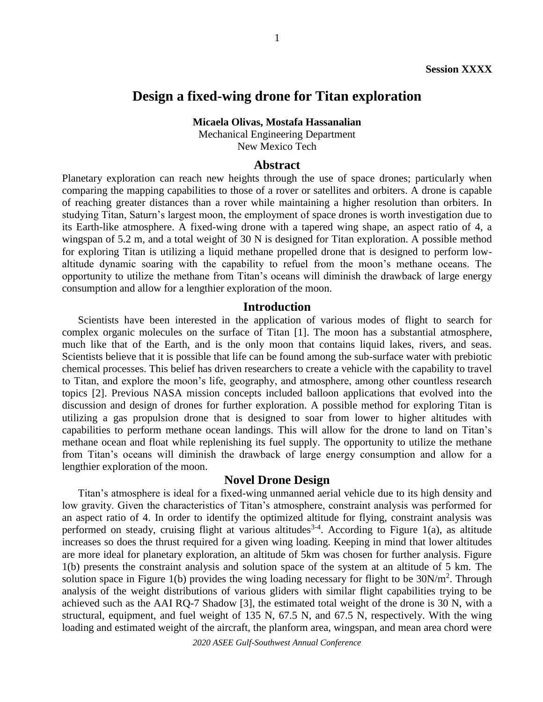# **Design a fixed-wing drone for Titan exploration**

**Micaela Olivas, Mostafa Hassanalian**

Mechanical Engineering Department New Mexico Tech

#### **Abstract**

Planetary exploration can reach new heights through the use of space drones; particularly when comparing the mapping capabilities to those of a rover or satellites and orbiters. A drone is capable of reaching greater distances than a rover while maintaining a higher resolution than orbiters. In studying Titan, Saturn's largest moon, the employment of space drones is worth investigation due to its Earth-like atmosphere. A fixed-wing drone with a tapered wing shape, an aspect ratio of 4, a wingspan of 5.2 m, and a total weight of 30 N is designed for Titan exploration. A possible method for exploring Titan is utilizing a liquid methane propelled drone that is designed to perform lowaltitude dynamic soaring with the capability to refuel from the moon's methane oceans. The opportunity to utilize the methane from Titan's oceans will diminish the drawback of large energy consumption and allow for a lengthier exploration of the moon.

### **Introduction**

Scientists have been interested in the application of various modes of flight to search for complex organic molecules on the surface of Titan [1]. The moon has a substantial atmosphere, much like that of the Earth, and is the only moon that contains liquid lakes, rivers, and seas. Scientists believe that it is possible that life can be found among the sub-surface water with prebiotic chemical processes. This belief has driven researchers to create a vehicle with the capability to travel to Titan, and explore the moon's life, geography, and atmosphere, among other countless research topics [2]. Previous NASA mission concepts included balloon applications that evolved into the discussion and design of drones for further exploration. A possible method for exploring Titan is utilizing a gas propulsion drone that is designed to soar from lower to higher altitudes with capabilities to perform methane ocean landings. This will allow for the drone to land on Titan's methane ocean and float while replenishing its fuel supply. The opportunity to utilize the methane from Titan's oceans will diminish the drawback of large energy consumption and allow for a lengthier exploration of the moon.

#### **Novel Drone Design**

Titan's atmosphere is ideal for a fixed-wing unmanned aerial vehicle due to its high density and low gravity. Given the characteristics of Titan's atmosphere, constraint analysis was performed for an aspect ratio of 4. In order to identify the optimized altitude for flying, constraint analysis was performed on steady, cruising flight at various altitudes<sup>3-4</sup>. According to Figure 1(a), as altitude increases so does the thrust required for a given wing loading. Keeping in mind that lower altitudes are more ideal for planetary exploration, an altitude of 5km was chosen for further analysis. Figure 1(b) presents the constraint analysis and solution space of the system at an altitude of 5 km. The solution space in Figure 1(b) provides the wing loading necessary for flight to be  $30N/m^2$ . Through analysis of the weight distributions of various gliders with similar flight capabilities trying to be achieved such as the AAI RQ-7 Shadow [3], the estimated total weight of the drone is 30 N, with a structural, equipment, and fuel weight of 135 N, 67.5 N, and 67.5 N, respectively. With the wing loading and estimated weight of the aircraft, the planform area, wingspan, and mean area chord were

*2020 ASEE Gulf-Southwest Annual Conference*